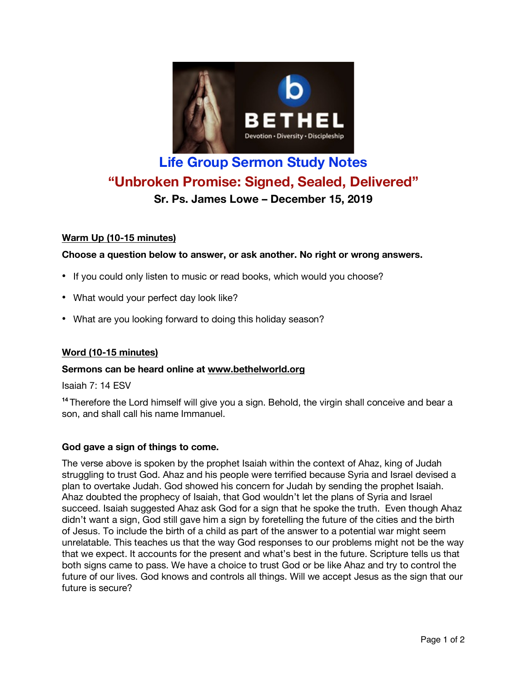

# **Life Group Sermon Study Notes "Unbroken Promise: Signed, Sealed, Delivered" Sr. Ps. James Lowe – December 15, 2019**

# **Warm Up (10-15 minutes)**

## **Choose a question below to answer, or ask another. No right or wrong answers.**

- If you could only listen to music or read books, which would you choose?
- What would your perfect day look like?
- What are you looking forward to doing this holiday season?

# **Word (10-15 minutes)**

#### **Sermons can be heard online at www.bethelworld.org**

Isaiah 7: 14 ESV

<sup>14</sup> Therefore the Lord himself will give you a sign. Behold, the virgin shall conceive and bear a son, and shall call his name Immanuel.

#### **God gave a sign of things to come.**

The verse above is spoken by the prophet Isaiah within the context of Ahaz, king of Judah struggling to trust God. Ahaz and his people were terrified because Syria and Israel devised a plan to overtake Judah. God showed his concern for Judah by sending the prophet Isaiah. Ahaz doubted the prophecy of Isaiah, that God wouldn't let the plans of Syria and Israel succeed. Isaiah suggested Ahaz ask God for a sign that he spoke the truth. Even though Ahaz didn't want a sign, God still gave him a sign by foretelling the future of the cities and the birth of Jesus. To include the birth of a child as part of the answer to a potential war might seem unrelatable. This teaches us that the way God responses to our problems might not be the way that we expect. It accounts for the present and what's best in the future. Scripture tells us that both signs came to pass. We have a choice to trust God or be like Ahaz and try to control the future of our lives. God knows and controls all things. Will we accept Jesus as the sign that our future is secure?